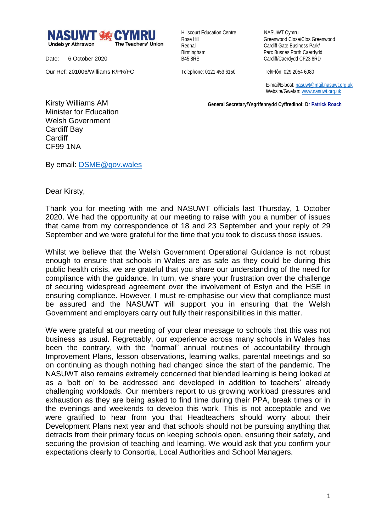

Date: 6 October 2020

Our Ref: 201006/Williams K/PR/FC

Hillscourt Education Centre NASUWT Cymru

Rose Hill Greenwood Close/Clos Greenwood Rednal **Cardiff Gate Business Park/** Birmingham Parc Busnes Porth Caerdydd<br>
B45 8RS<br>
Cardiff/Caerdydd CF23 8RD Cardiff/Caerdydd CF23 8RD

Telephone: 0121 453 6150 Tel/Ffôn: 029 2054 6080

 E-mail/E-bost[: nasuwt@mail.nasuwt.org.uk](mailto:nasuwt@mail.nasuwt.org.uk) Website/Gwefan: [www.nasuwt.org.uk](http://www.nasuwt.org.uk/)

 **General Secretary/Ysgrifennydd Cyffredinol: Dr Patrick Roach**

Kirsty Williams AM Minister for Education Welsh Government Cardiff Bay **Cardiff** CF99 1NA

By email: [DSME@gov.wales](mailto:DSME@gov.wales)

Dear Kirsty,

Thank you for meeting with me and NASUWT officials last Thursday, 1 October 2020. We had the opportunity at our meeting to raise with you a number of issues that came from my correspondence of 18 and 23 September and your reply of 29 September and we were grateful for the time that you took to discuss those issues.

Whilst we believe that the Welsh Government Operational Guidance is not robust enough to ensure that schools in Wales are as safe as they could be during this public health crisis, we are grateful that you share our understanding of the need for compliance with the guidance. In turn, we share your frustration over the challenge of securing widespread agreement over the involvement of Estyn and the HSE in ensuring compliance. However, I must re-emphasise our view that compliance must be assured and the NASUWT will support you in ensuring that the Welsh Government and employers carry out fully their responsibilities in this matter.

We were grateful at our meeting of your clear message to schools that this was not business as usual. Regrettably, our experience across many schools in Wales has been the contrary, with the "normal" annual routines of accountability through Improvement Plans, lesson observations, learning walks, parental meetings and so on continuing as though nothing had changed since the start of the pandemic. The NASUWT also remains extremely concerned that blended learning is being looked at as a 'bolt on' to be addressed and developed in addition to teachers' already challenging workloads. Our members report to us growing workload pressures and exhaustion as they are being asked to find time during their PPA, break times or in the evenings and weekends to develop this work. This is not acceptable and we were gratified to hear from you that Headteachers should worry about their Development Plans next year and that schools should not be pursuing anything that detracts from their primary focus on keeping schools open, ensuring their safety, and securing the provision of teaching and learning. We would ask that you confirm your expectations clearly to Consortia, Local Authorities and School Managers.